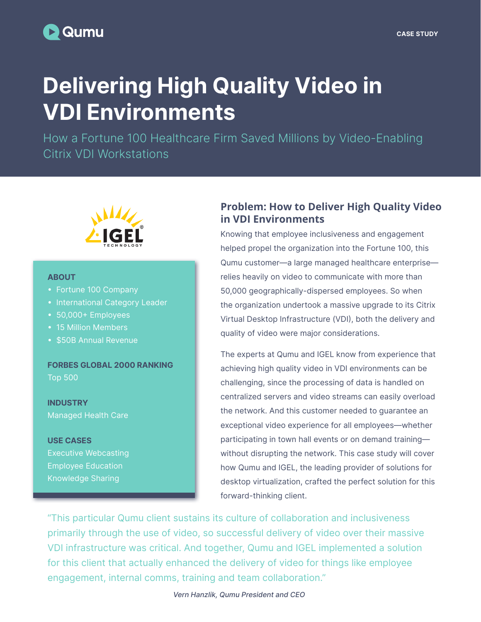# Delivering High Quality Video in VDI Environments

How a Fortune 100 Healthcare Firm Saved Millions by Video-Enabling Citrix VDI Workstations



#### ABOUT

- Fortune 100 Company
- International Category Leader
- 50,000+ Employees
- 15 Million Members
- \$50B Annual Revenue

FORBES GLOBAL 2000 RANKING Top 500

INDUSTRY Managed Health Care

USE CASES Executive Webcasting Employee Education Knowledge Sharing

## **Problem: How to Deliver High Quality Video in VDI Environments**

Knowing that employee inclusiveness and engagement helped propel the organization into the Fortune 100, this Qumu customer—a large managed healthcare enterprise relies heavily on video to communicate with more than 50,000 geographically-dispersed employees. So when the organization undertook a massive upgrade to its Citrix Virtual Desktop Infrastructure (VDI), both the delivery and quality of video were major considerations.

The experts at Qumu and IGEL know from experience that achieving high quality video in VDI environments can be challenging, since the processing of data is handled on centralized servers and video streams can easily overload the network. And this customer needed to guarantee an exceptional video experience for all employees—whether participating in town hall events or on demand training without disrupting the network. This case study will cover how Qumu and IGEL, the leading provider of solutions for desktop virtualization, crafted the perfect solution for this forward-thinking client.

"This particular Qumu client sustains its culture of collaboration and inclusiveness primarily through the use of video, so successful delivery of video over their massive VDI infrastructure was critical. And together, Qumu and IGEL implemented a solution for this client that actually enhanced the delivery of video for things like employee engagement, internal comms, training and team collaboration."